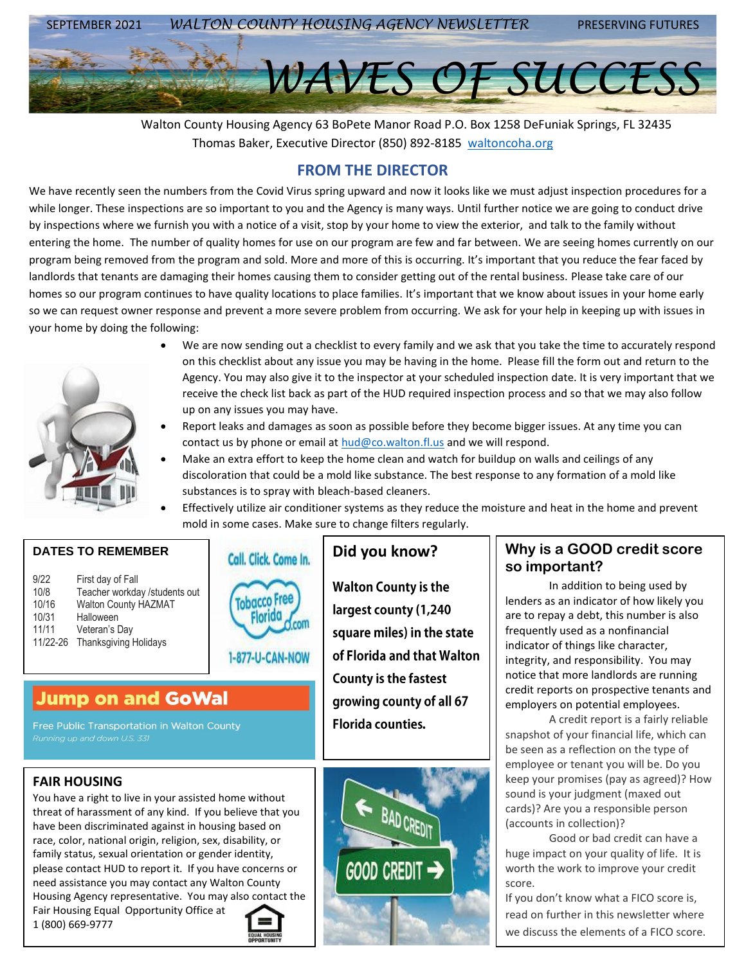

 Walton County Housing Agency 63 BoPete Manor Road P.O. Box 1258 DeFuniak Springs, FL 32435 Thomas Baker, Executive Director (850) 892-8185 [waltoncoha.org](mailto:hud@co.walton.fl.us)

# **FROM THE DIRECTOR**

We have recently seen the numbers from the Covid Virus spring upward and now it looks like we must adjust inspection procedures for a while longer. These inspections are so important to you and the Agency is many ways. Until further notice we are going to conduct drive by inspections where we furnish you with a notice of a visit, stop by your home to view the exterior, and talk to the family without entering the home. The number of quality homes for use on our program are few and far between. We are seeing homes currently on our program being removed from the program and sold. More and more of this is occurring. It's important that you reduce the fear faced by landlords that tenants are damaging their homes causing them to consider getting out of the rental business. Please take care of our homes so our program continues to have quality locations to place families. It's important that we know about issues in your home early so we can request owner response and prevent a more severe problem from occurring. We ask for your help in keeping up with issues in your home by doing the following:



- We are now sending out a checklist to every family and we ask that you take the time to accurately respond on this checklist about any issue you may be having in the home. Please fill the form out and return to the Agency. You may also give it to the inspector at your scheduled inspection date. It is very important that we receive the check list back as part of the HUD required inspection process and so that we may also follow up on any issues you may have.
- Report leaks and damages as soon as possible before they become bigger issues. At any time you can contact us by phone or email at  $hud@co.walton.fl.us$  and we will respond.
- Make an extra effort to keep the home clean and watch for buildup on walls and ceilings of any discoloration that could be a mold like substance. The best response to any formation of a mold like substances is to spray with bleach-based cleaners.
- Effectively utilize air conditioner systems as they reduce the moisture and heat in the home and prevent mold in some cases. Make sure to change filters regularly.

| 9/22     | First day of Fall             |
|----------|-------------------------------|
| 10/8     | Teacher workday /students out |
| 10/16    | <b>Walton County HAZMAT</b>   |
| 10/31    | Halloween                     |
| 11/11    | Veteran's Day                 |
| 11/22-26 | <b>Thanksgiving Holidays</b>  |

**DATES TO REMEMBER**



# **Jump on and GoWal**

Free Public Transportation in Walton County

## **FAIR HOUSING**

You have a right to live in your assisted home without threat of harassment of any kind. If you believe that you have been discriminated against in housing based on race, color, national origin, religion, sex, disability, or family status, sexual orientation or gender identity, please contact HUD to report it. If you have concerns or need assistance you may contact any Walton County Housing Agency representative. You may also contact the

Fair Housing Equal Opportunity Office at 1 (800) 669-9777



**Walton County is the** largest county (1,240 square miles) in the state of Florida and that Walton **County is the fastest** growing county of all 67 **Florida counties.** 



# **Did you know? Why is a GOOD credit score so important?**

In addition to being used by lenders as an indicator of how likely you are to repay a debt, this number is also frequently used as a nonfinancial indicator of things like character, integrity, and responsibility. You may notice that more landlords are running credit reports on prospective tenants and employers on potential employees.

A credit report is a fairly reliable snapshot of your financial life, which can be seen as a reflection on the type of employee or tenant you will be. Do you keep your promises (pay as agreed)? How sound is your judgment (maxed out cards)? Are you a responsible person (accounts in collection)?

Good or bad credit can have a huge impact on your quality of life. It is worth the work to improve your credit score.

If you don't know what a FICO score is, read on further in this newsletter where we discuss the elements of a FICO score.